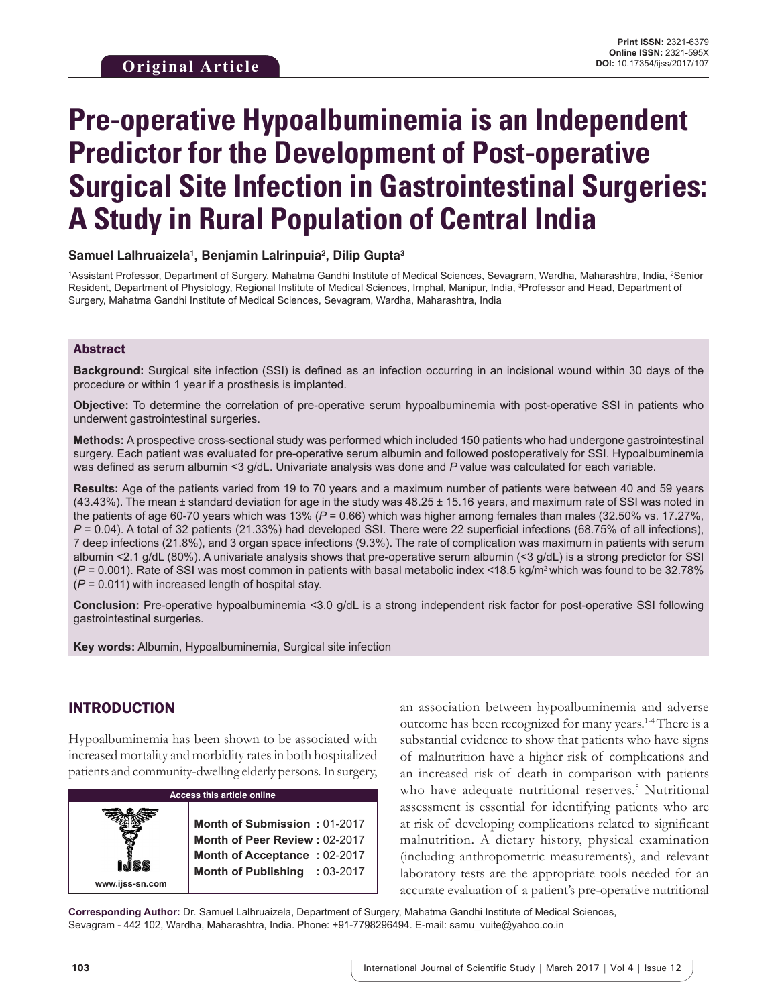# **Pre-operative Hypoalbuminemia is an Independent Predictor for the Development of Post-operative Surgical Site Infection in Gastrointestinal Surgeries: A Study in Rural Population of Central India**

## **Samuel Lalhruaizela1 , Benjamin Lalrinpuia2 , Dilip Gupta3**

1Assistant Professor, Department of Surgery, Mahatma Gandhi Institute of Medical Sciences, Sevagram, Wardha, Maharashtra, India, 2Senior Resident, Department of Physiology, Regional Institute of Medical Sciences, Imphal, Manipur, India, <sup>3</sup>Professor and Head, Department of Surgery, Mahatma Gandhi Institute of Medical Sciences, Sevagram, Wardha, Maharashtra, India

## Abstract

**Background:** Surgical site infection (SSI) is defined as an infection occurring in an incisional wound within 30 days of the procedure or within 1 year if a prosthesis is implanted.

**Objective:** To determine the correlation of pre-operative serum hypoalbuminemia with post-operative SSI in patients who underwent gastrointestinal surgeries.

**Methods:** A prospective cross-sectional study was performed which included 150 patients who had undergone gastrointestinal surgery. Each patient was evaluated for pre-operative serum albumin and followed postoperatively for SSI. Hypoalbuminemia was defined as serum albumin <3 g/dL. Univariate analysis was done and *P* value was calculated for each variable.

**Results:** Age of the patients varied from 19 to 70 years and a maximum number of patients were between 40 and 59 years (43.43%). The mean ± standard deviation for age in the study was 48.25 ± 15.16 years, and maximum rate of SSI was noted in the patients of age 60-70 years which was 13% (*P* = 0.66) which was higher among females than males (32.50% vs. 17.27%, *P* = 0.04). A total of 32 patients (21.33%) had developed SSI. There were 22 superficial infections (68.75% of all infections), 7 deep infections (21.8%), and 3 organ space infections (9.3%). The rate of complication was maximum in patients with serum albumin <2.1 g/dL (80%). A univariate analysis shows that pre-operative serum albumin (<3 g/dL) is a strong predictor for SSI (*P* = 0.001). Rate of SSI was most common in patients with basal metabolic index <18.5 kg/m<sup>2</sup>which was found to be 32.78% (*P* = 0.011) with increased length of hospital stay.

**Conclusion:** Pre-operative hypoalbuminemia <3.0 g/dL is a strong independent risk factor for post-operative SSI following gastrointestinal surgeries.

**Key words:** Albumin, Hypoalbuminemia, Surgical site infection

# INTRODUCTION

Hypoalbuminemia has been shown to be associated with increased mortality and morbidity rates in both hospitalized patients and community-dwelling elderly persons. In surgery,



an association between hypoalbuminemia and adverse outcome has been recognized for many years.1-4 There is a substantial evidence to show that patients who have signs of malnutrition have a higher risk of complications and an increased risk of death in comparison with patients who have adequate nutritional reserves.<sup>5</sup> Nutritional assessment is essential for identifying patients who are at risk of developing complications related to significant malnutrition. A dietary history, physical examination (including anthropometric measurements), and relevant laboratory tests are the appropriate tools needed for an accurate evaluation of a patient's pre-operative nutritional

**Corresponding Author:** Dr. Samuel Lalhruaizela, Department of Surgery, Mahatma Gandhi Institute of Medical Sciences, Sevagram - 442 102, Wardha, Maharashtra, India. Phone: +91-7798296494. E-mail: samu\_vuite@yahoo.co.in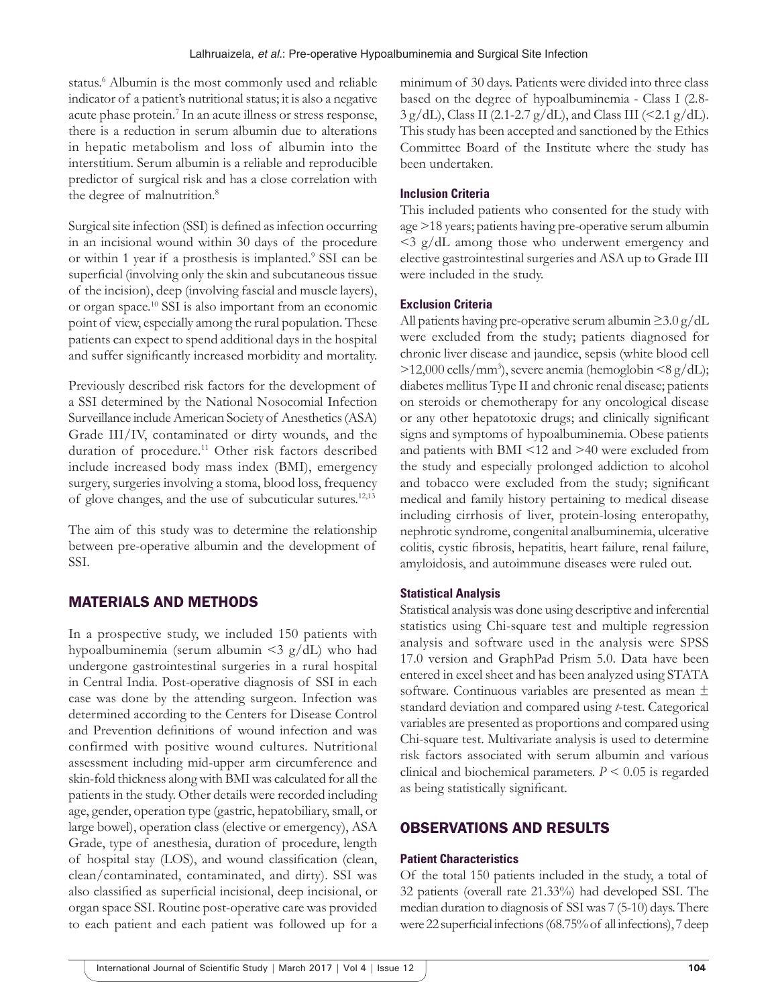status.<sup>6</sup> Albumin is the most commonly used and reliable indicator of a patient's nutritional status; it is also a negative acute phase protein.<sup>7</sup> In an acute illness or stress response, there is a reduction in serum albumin due to alterations in hepatic metabolism and loss of albumin into the interstitium. Serum albumin is a reliable and reproducible predictor of surgical risk and has a close correlation with the degree of malnutrition.<sup>8</sup>

Surgical site infection (SSI) is defined as infection occurring in an incisional wound within 30 days of the procedure or within 1 year if a prosthesis is implanted.<sup>9</sup> SSI can be superficial (involving only the skin and subcutaneous tissue of the incision), deep (involving fascial and muscle layers), or organ space.10 SSI is also important from an economic point of view, especially among the rural population. These patients can expect to spend additional days in the hospital and suffer significantly increased morbidity and mortality.

Previously described risk factors for the development of a SSI determined by the National Nosocomial Infection Surveillance include American Society of Anesthetics (ASA) Grade III/IV, contaminated or dirty wounds, and the duration of procedure.<sup>11</sup> Other risk factors described include increased body mass index (BMI), emergency surgery, surgeries involving a stoma, blood loss, frequency of glove changes, and the use of subcuticular sutures.12,13

The aim of this study was to determine the relationship between pre-operative albumin and the development of SSI.

## MATERIALS AND METHODS

In a prospective study, we included 150 patients with hypoalbuminemia (serum albumin <3 g/dL) who had undergone gastrointestinal surgeries in a rural hospital in Central India. Post-operative diagnosis of SSI in each case was done by the attending surgeon. Infection was determined according to the Centers for Disease Control and Prevention definitions of wound infection and was confirmed with positive wound cultures. Nutritional assessment including mid-upper arm circumference and skin-fold thickness along with BMI was calculated for all the patients in the study. Other details were recorded including age, gender, operation type (gastric, hepatobiliary, small, or large bowel), operation class (elective or emergency), ASA Grade, type of anesthesia, duration of procedure, length of hospital stay (LOS), and wound classification (clean, clean/contaminated, contaminated, and dirty). SSI was also classified as superficial incisional, deep incisional, or organ space SSI. Routine post-operative care was provided to each patient and each patient was followed up for a minimum of 30 days. Patients were divided into three class based on the degree of hypoalbuminemia - Class I (2.8-  $3 g/dL$ , Class II (2.1-2.7 g/dL), and Class III (<2.1 g/dL). This study has been accepted and sanctioned by the Ethics Committee Board of the Institute where the study has been undertaken.

#### **Inclusion Criteria**

This included patients who consented for the study with age >18 years; patients having pre-operative serum albumin <3 g/dL among those who underwent emergency and elective gastrointestinal surgeries and ASA up to Grade III were included in the study.

#### **Exclusion Criteria**

All patients having pre-operative serum albumin ≥3.0 g/dL were excluded from the study; patients diagnosed for chronic liver disease and jaundice, sepsis (white blood cell >12,000 cells/mm3 ), severe anemia (hemoglobin <8 g/dL); diabetes mellitus Type II and chronic renal disease; patients on steroids or chemotherapy for any oncological disease or any other hepatotoxic drugs; and clinically significant signs and symptoms of hypoalbuminemia. Obese patients and patients with BMI <12 and >40 were excluded from the study and especially prolonged addiction to alcohol and tobacco were excluded from the study; significant medical and family history pertaining to medical disease including cirrhosis of liver, protein-losing enteropathy, nephrotic syndrome, congenital analbuminemia, ulcerative colitis, cystic fibrosis, hepatitis, heart failure, renal failure, amyloidosis, and autoimmune diseases were ruled out.

#### **Statistical Analysis**

Statistical analysis was done using descriptive and inferential statistics using Chi-square test and multiple regression analysis and software used in the analysis were SPSS 17.0 version and GraphPad Prism 5.0. Data have been entered in excel sheet and has been analyzed using STATA software. Continuous variables are presented as mean ± standard deviation and compared using *t*-test. Categorical variables are presented as proportions and compared using Chi-square test. Multivariate analysis is used to determine risk factors associated with serum albumin and various clinical and biochemical parameters. *P* < 0.05 is regarded as being statistically significant.

#### OBSERVATIONS AND RESULTS

#### **Patient Characteristics**

Of the total 150 patients included in the study, a total of 32 patients (overall rate 21.33%) had developed SSI. The median duration to diagnosis of SSI was 7 (5-10) days. There were 22 superficial infections (68.75% of all infections), 7 deep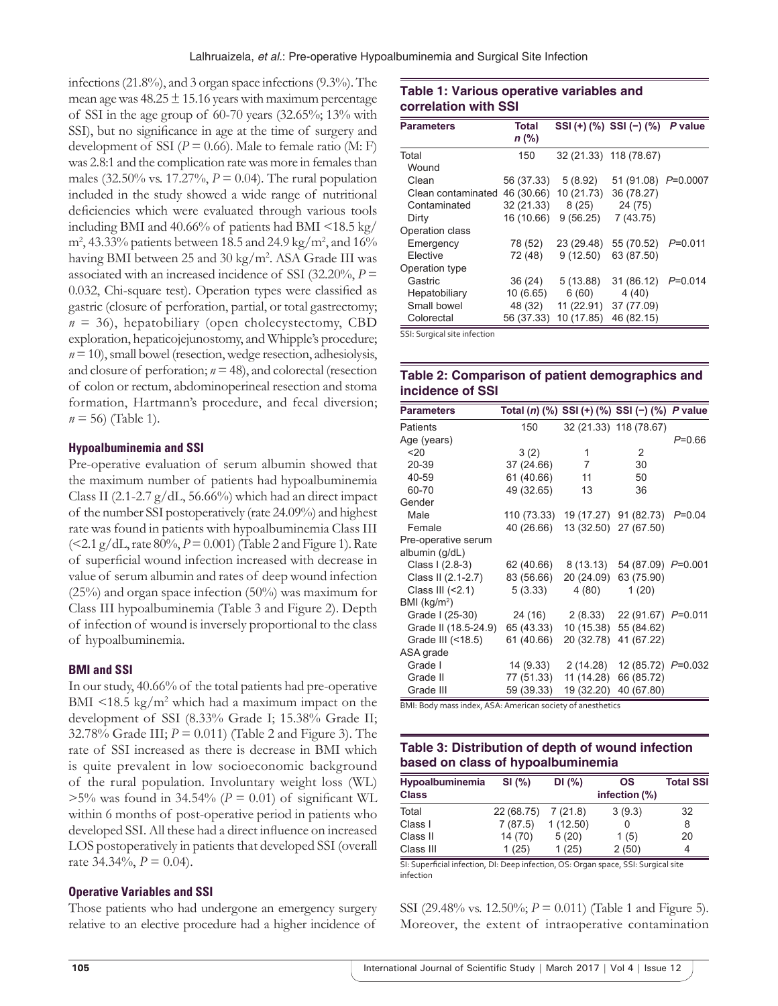infections (21.8%), and 3 organ space infections (9.3%). The mean age was  $48.25 \pm 15.16$  years with maximum percentage of SSI in the age group of 60-70 years (32.65%; 13% with SSI), but no significance in age at the time of surgery and development of SSI ( $P = 0.66$ ). Male to female ratio (M: F) was 2.8:1 and the complication rate was more in females than males (32.50% vs. 17.27%, *P* = 0.04). The rural population included in the study showed a wide range of nutritional deficiencies which were evaluated through various tools including BMI and 40.66% of patients had BMI <18.5 kg/  $\text{m}^2$ , 43.33% patients between 18.5 and 24.9 kg/m<sup>2</sup>, and 16% having BMI between 25 and 30 kg/m<sup>2</sup>. ASA Grade III was associated with an increased incidence of SSI (32.20%, *P* = 0.032, Chi-square test). Operation types were classified as gastric (closure of perforation, partial, or total gastrectomy;  $n = 36$ ), hepatobiliary (open cholecystectomy, CBD exploration, hepaticojejunostomy, and Whipple's procedure; *n* = 10), small bowel (resection, wedge resection, adhesiolysis, and closure of perforation;  $n = 48$ ), and colorectal (resection of colon or rectum, abdominoperineal resection and stoma formation, Hartmann's procedure, and fecal diversion;  $n = 56$ ) (Table 1).

#### **Hypoalbuminemia and SSI**

Pre-operative evaluation of serum albumin showed that the maximum number of patients had hypoalbuminemia Class II (2.1-2.7 g/dL, 56.66%) which had an direct impact of the number SSI postoperatively (rate 24.09%) and highest rate was found in patients with hypoalbuminemia Class III (<2.1 g/dL, rate 80%, *P* = 0.001) (Table 2 and Figure 1). Rate of superficial wound infection increased with decrease in value of serum albumin and rates of deep wound infection (25%) and organ space infection (50%) was maximum for Class III hypoalbuminemia (Table 3 and Figure 2). Depth of infection of wound is inversely proportional to the class of hypoalbuminemia.

#### **BMI and SSI**

In our study, 40.66% of the total patients had pre-operative BMI  $\leq$ 18.5 kg/m<sup>2</sup> which had a maximum impact on the development of SSI (8.33% Grade I; 15.38% Grade II; 32.78% Grade III; *P* = 0.011) (Table 2 and Figure 3). The rate of SSI increased as there is decrease in BMI which is quite prevalent in low socioeconomic background of the rural population. Involuntary weight loss (WL)  $>5\%$  was found in 34.54% ( $P = 0.01$ ) of significant WL within 6 months of post-operative period in patients who developed SSI. All these had a direct influence on increased LOS postoperatively in patients that developed SSI (overall rate 34.34%,  $P = 0.04$ .

#### **Operative Variables and SSI**

Those patients who had undergone an emergency surgery relative to an elective procedure had a higher incidence of

## **Table 1: Various operative variables and correlation with SSI**

| <b>Parameters</b>  | <b>Total</b><br>$n$ (%) |            | SSI (+) $(\%)$ SSI (-) $(\%)$ | P value     |
|--------------------|-------------------------|------------|-------------------------------|-------------|
| Total              | 150                     |            | 32 (21.33) 118 (78.67)        |             |
| Wound              |                         |            |                               |             |
| Clean              | 56 (37.33)              | 5(8.92)    | 51 (91.08) P=0.0007           |             |
| Clean contaminated | 46 (30.66)              | 10 (21.73) | 36 (78.27)                    |             |
| Contaminated       | 32 (21.33)              | 8(25)      | 24 (75)                       |             |
| Dirty              | 16 (10.66)              | 9(56.25)   | 7(43.75)                      |             |
| Operation class    |                         |            |                               |             |
| Emergency          | 78 (52)                 | 23 (29.48) | 55 (70.52)                    | $P = 0.011$ |
| Elective           | 72 (48)                 | 9(12.50)   | 63 (87.50)                    |             |
| Operation type     |                         |            |                               |             |
| Gastric            | 36(24)                  | 5(13.88)   | 31 (86.12)                    | $P=0.014$   |
| Hepatobiliary      | 10(6.65)                | 6(60)      | 4(40)                         |             |
| Small bowel        | 48 (32)                 | 11 (22.91) | 37 (77.09)                    |             |
| Colorectal         | 56 (37.33)              | 10 (17.85) | 46 (82.15)                    |             |

SSI: Surgical site infection

#### **Table 2: Comparison of patient demographics and incidence of SSI**

| <b>Parameters</b>        | Total (n) (%) SSI (+) (%) SSI (-) (%) P value |                  |                        |            |
|--------------------------|-----------------------------------------------|------------------|------------------------|------------|
| Patients                 | 150                                           |                  | 32 (21.33) 118 (78.67) |            |
| Age (years)              |                                               |                  |                        | $P = 0.66$ |
| 20                       | 3(2)                                          | 1                | 2                      |            |
| 20-39                    | 37 (24.66)                                    | $\overline{7}$   | 30                     |            |
| 40-59                    | 61 (40.66)                                    | 11               | 50                     |            |
| 60-70                    | 49 (32.65)                                    | 13               | 36                     |            |
| Gender                   |                                               |                  |                        |            |
| Male                     | 110 (73.33) 19 (17.27) 91 (82.73)             |                  |                        | $P=0.04$   |
| Female                   | 40 (26.66)                                    |                  | 13 (32.50) 27 (67.50)  |            |
| Pre-operative serum      |                                               |                  |                        |            |
| albumin (g/dL)           |                                               |                  |                        |            |
| Class I (2.8-3)          | 62 (40.66)                                    | 8 (13.13)        | 54 (87.09) P=0.001     |            |
| Class II (2.1-2.7)       | 83 (56.66)                                    | 20 (24.09)       | 63 (75.90)             |            |
| Class III $(2.1)$        | 5(3.33)                                       | 4 (80)           | 1(20)                  |            |
| BMI (kg/m <sup>2</sup> ) |                                               |                  |                        |            |
| Grade I (25-30)          |                                               | 24 (16) 2 (8.33) | 22 (91.67) P=0.011     |            |
| Grade II (18.5-24.9)     | 65 (43.33)                                    | 10 (15.38)       | 55 (84.62)             |            |
| Grade III (<18.5)        | 61 (40.66)                                    | 20 (32.78)       | 41 (67.22)             |            |
| ASA grade                |                                               |                  |                        |            |
| Grade I                  | 14 (9.33)                                     | 2 (14.28)        | 12 (85.72) P=0.032     |            |
| Grade II                 | 77 (51.33)                                    | 11 (14.28)       | 66 (85.72)             |            |
| Grade III                | 59 (39.33)                                    | 19 (32.20)       | 40 (67.80)             |            |

BMI: Body mass index, ASA: American society of anesthetics

## **Table 3: Distribution of depth of wound infection based on class of hypoalbuminemia**

| Hypoalbuminemia | SI(%)      | DI(%)    | OS            | <b>Total SSI</b> |
|-----------------|------------|----------|---------------|------------------|
| <b>Class</b>    |            |          | infection (%) |                  |
| Total           | 22 (68.75) | 7(21.8)  | 3(9.3)        | 32               |
| Class I         | 7(87.5)    | 1(12.50) |               | 8                |
| Class II        | 14 (70)    | 5(20)    | 1(5)          | 20               |
| Class III       | 1(25)      | 1(25)    | 2(50)         | 4                |
|                 |            |          |               |                  |

SI: Superficial infection, DI: Deep infection, OS: Organ space, SSI: Surgical site infection

SSI (29.48% vs. 12.50%; *P* = 0.011) (Table 1 and Figure 5). Moreover, the extent of intraoperative contamination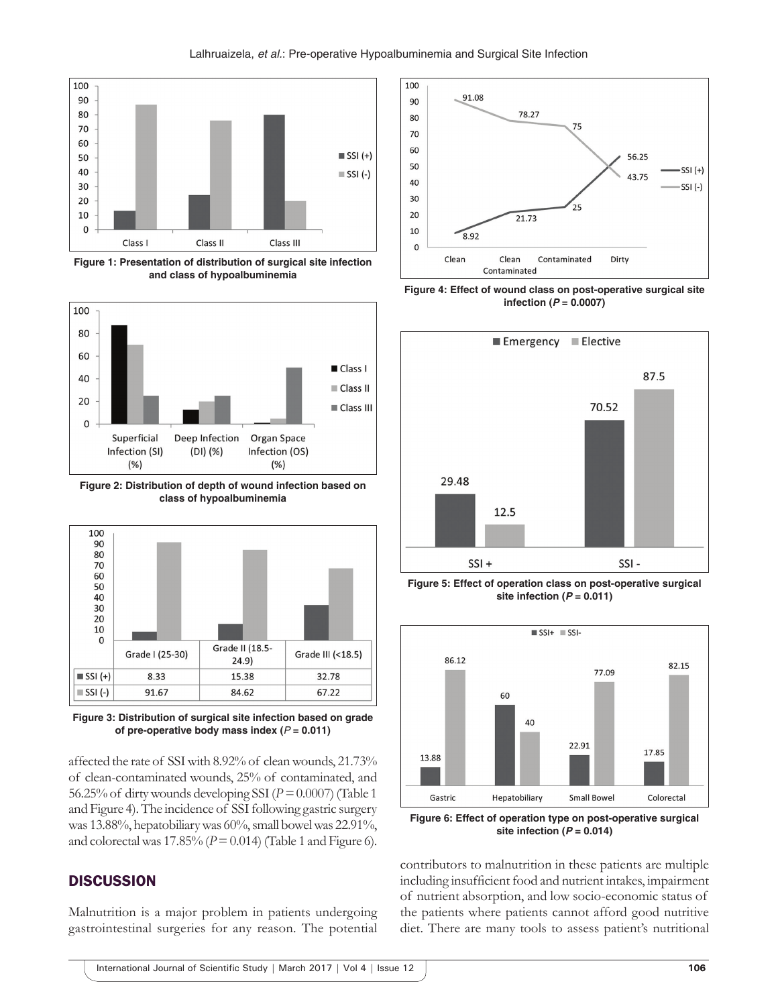

**Figure 1: Presentation of distribution of surgical site infection and class of hypoalbuminemia**



**Figure 2: Distribution of depth of wound infection based on class of hypoalbuminemia**



**Figure 3: Distribution of surgical site infection based on grade of pre-operative body mass index (** $P = 0.011$ **)** 

affected the rate of SSI with 8.92% of clean wounds, 21.73% of clean-contaminated wounds, 25% of contaminated, and 56.25% of dirty wounds developing SSI (*P =* 0.0007) (Table 1 and Figure 4). The incidence of SSI following gastric surgery was 13.88%, hepatobiliary was 60%, small bowel was 22.91%, and colorectal was  $17.85\%$  ( $P = 0.014$ ) (Table 1 and Figure 6).

## **DISCUSSION**

Malnutrition is a major problem in patients undergoing gastrointestinal surgeries for any reason. The potential



**Figure 4: Effect of wound class on post-operative surgical site infection (***P* **= 0.0007)**



**Figure 5: Effect of operation class on post-operative surgical site infection (***P* **= 0.011)**



**Figure 6: Effect of operation type on post-operative surgical site infection (***P* **= 0.014)**

contributors to malnutrition in these patients are multiple including insufficient food and nutrient intakes, impairment of nutrient absorption, and low socio-economic status of the patients where patients cannot afford good nutritive diet. There are many tools to assess patient's nutritional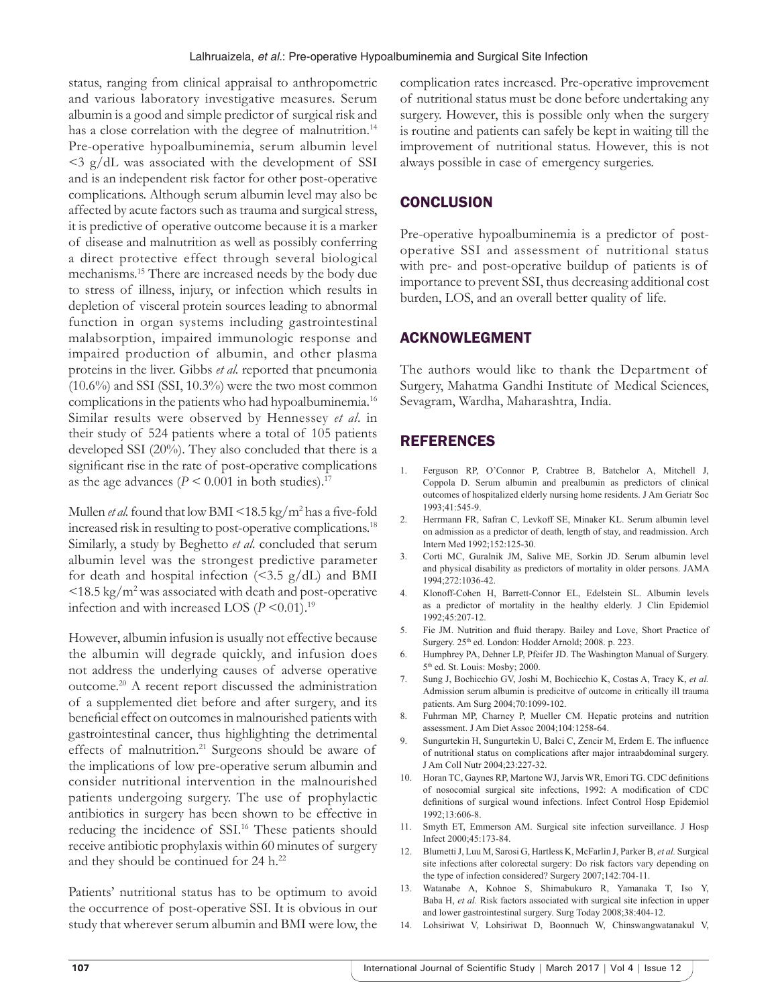status, ranging from clinical appraisal to anthropometric and various laboratory investigative measures. Serum albumin is a good and simple predictor of surgical risk and has a close correlation with the degree of malnutrition.<sup>14</sup> Pre-operative hypoalbuminemia, serum albumin level  $\leq$  3 g/dL was associated with the development of SSI and is an independent risk factor for other post-operative complications. Although serum albumin level may also be affected by acute factors such as trauma and surgical stress, it is predictive of operative outcome because it is a marker of disease and malnutrition as well as possibly conferring a direct protective effect through several biological mechanisms.15 There are increased needs by the body due to stress of illness, injury, or infection which results in depletion of visceral protein sources leading to abnormal function in organ systems including gastrointestinal malabsorption, impaired immunologic response and impaired production of albumin, and other plasma proteins in the liver. Gibbs *et al.* reported that pneumonia  $(10.6\%)$  and SSI (SSI,  $10.3\%$ ) were the two most common complications in the patients who had hypoalbuminemia.<sup>16</sup> Similar results were observed by Hennessey *et al*. in their study of 524 patients where a total of 105 patients developed SSI (20%). They also concluded that there is a significant rise in the rate of post-operative complications as the age advances ( $P \le 0.001$  in both studies).<sup>17</sup>

Mullen *et al.* found that low BMI <18.5 kg/m<sup>2</sup> has a five-fold increased risk in resulting to post-operative complications.18 Similarly, a study by Beghetto *et al*. concluded that serum albumin level was the strongest predictive parameter for death and hospital infection  $\langle 5.5 \text{ g}/dL \rangle$  and BMI <18.5 kg/m2 was associated with death and post-operative infection and with increased LOS  $(P \le 0.01)$ .<sup>19</sup>

However, albumin infusion is usually not effective because the albumin will degrade quickly, and infusion does not address the underlying causes of adverse operative outcome.20 A recent report discussed the administration of a supplemented diet before and after surgery, and its beneficial effect on outcomes in malnourished patients with gastrointestinal cancer, thus highlighting the detrimental effects of malnutrition.21 Surgeons should be aware of the implications of low pre-operative serum albumin and consider nutritional intervention in the malnourished patients undergoing surgery. The use of prophylactic antibiotics in surgery has been shown to be effective in reducing the incidence of SSI.<sup>16</sup> These patients should receive antibiotic prophylaxis within 60 minutes of surgery and they should be continued for 24 h.<sup>22</sup>

Patients' nutritional status has to be optimum to avoid the occurrence of post-operative SSI. It is obvious in our study that wherever serum albumin and BMI were low, the complication rates increased. Pre-operative improvement of nutritional status must be done before undertaking any surgery. However, this is possible only when the surgery is routine and patients can safely be kept in waiting till the improvement of nutritional status. However, this is not always possible in case of emergency surgeries.

# **CONCLUSION**

Pre-operative hypoalbuminemia is a predictor of postoperative SSI and assessment of nutritional status with pre- and post-operative buildup of patients is of importance to prevent SSI, thus decreasing additional cost burden, LOS, and an overall better quality of life.

# ACKNOWLEGMENT

The authors would like to thank the Department of Surgery, Mahatma Gandhi Institute of Medical Sciences, Sevagram, Wardha, Maharashtra, India.

# REFERENCES

- 1. Ferguson RP, O'Connor P, Crabtree B, Batchelor A, Mitchell J, Coppola D. Serum albumin and prealbumin as predictors of clinical outcomes of hospitalized elderly nursing home residents. J Am Geriatr Soc 1993;41:545-9.
- 2. Herrmann FR, Safran C, Levkoff SE, Minaker KL. Serum albumin level on admission as a predictor of death, length of stay, and readmission. Arch Intern Med 1992;152:125-30.
- 3. Corti MC, Guralnik JM, Salive ME, Sorkin JD. Serum albumin level and physical disability as predictors of mortality in older persons. JAMA 1994;272:1036-42.
- 4. Klonoff-Cohen H, Barrett-Connor EL, Edelstein SL. Albumin levels as a predictor of mortality in the healthy elderly. J Clin Epidemiol 1992;45:207-12.
- 5. Fie JM. Nutrition and fluid therapy. Bailey and Love, Short Practice of Surgery. 25th ed. London: Hodder Arnold; 2008. p. 223.
- 6. Humphrey PA, Dehner LP, Pfeifer JD. The Washington Manual of Surgery. 5<sup>th</sup> ed. St. Louis: Mosby; 2000.
- 7. Sung J, Bochicchio GV, Joshi M, Bochicchio K, Costas A, Tracy K, *et al.* Admission serum albumin is predicitve of outcome in critically ill trauma patients. Am Surg 2004;70:1099-102.
- 8. Fuhrman MP, Charney P, Mueller CM. Hepatic proteins and nutrition assessment. J Am Diet Assoc 2004;104:1258-64.
- 9. Sungurtekin H, Sungurtekin U, Balci C, Zencir M, Erdem E. The influence of nutritional status on complications after major intraabdominal surgery. J Am Coll Nutr 2004;23:227-32.
- 10. Horan TC, Gaynes RP, Martone WJ, Jarvis WR, Emori TG. CDC definitions of nosocomial surgical site infections, 1992: A modification of CDC definitions of surgical wound infections. Infect Control Hosp Epidemiol 1992;13:606-8.
- 11. Smyth ET, Emmerson AM. Surgical site infection surveillance. J Hosp Infect 2000;45:173-84.
- 12. Blumetti J, Luu M, Sarosi G, Hartless K, McFarlin J, Parker B, *et al.* Surgical site infections after colorectal surgery: Do risk factors vary depending on the type of infection considered? Surgery 2007;142:704-11.
- 13. Watanabe A, Kohnoe S, Shimabukuro R, Yamanaka T, Iso Y, Baba H, *et al.* Risk factors associated with surgical site infection in upper and lower gastrointestinal surgery. Surg Today 2008;38:404-12.
- 14. Lohsiriwat V, Lohsiriwat D, Boonnuch W, Chinswangwatanakul V,